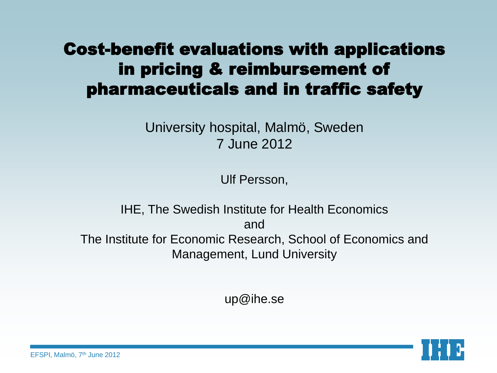### Cost-benefit evaluations with applications in pricing & reimbursement of pharmaceuticals and in traffic safety

University hospital, Malmö, Sweden 7 June 2012

Ulf Persson,

IHE, The Swedish Institute for Health Economics and The Institute for Economic Research, School of Economics and Management, Lund University

up@ihe.se

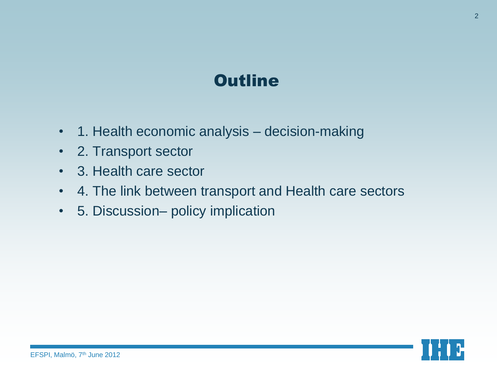### **Outline**

- 1. Health economic analysis decision-making
- 2. Transport sector
- 3. Health care sector
- 4. The link between transport and Health care sectors
- 5. Discussion– policy implication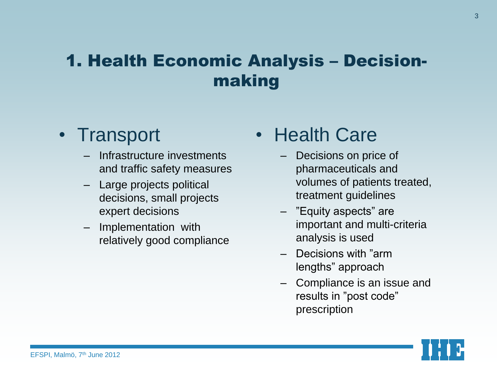### 1. Health Economic Analysis – Decisionmaking

#### • Transport

- Infrastructure investments and traffic safety measures
- Large projects political decisions, small projects expert decisions
- Implementation with relatively good compliance

• Health Care

- Decisions on price of pharmaceuticals and volumes of patients treated, treatment guidelines
- "Equity aspects" are important and multi-criteria analysis is used
- Decisions with "arm lengths" approach
- Compliance is an issue and results in "post code" prescription

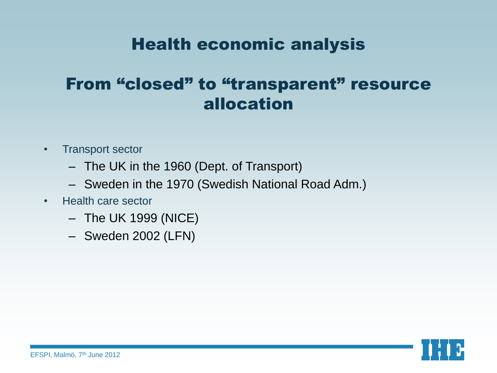#### Health economic analysis

#### From "closed" to "transparent" resource allocation

- Transport sector
	- The UK in the 1960 (Dept. of Transport)
	- Sweden in the 1970 (Swedish National Road Adm.)
- Health care sector
	- The UK 1999 (NICE)
	- Sweden 2002 (LFN)

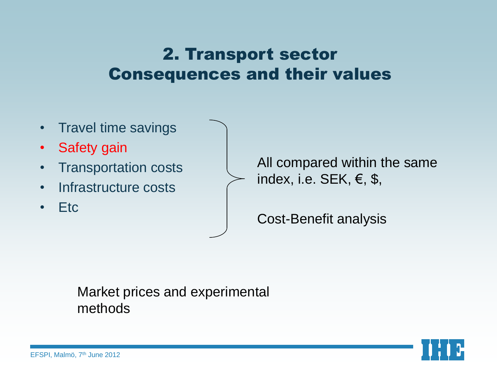#### 2. Transport sector Consequences and their values

- Travel time savings
- Safety gain
- Transportation costs
- Infrastructure costs
- Etc

All compared within the same index, i.e. SEK,  $\epsilon$ , \$,

Cost-Benefit analysis

#### Market prices and experimental methods

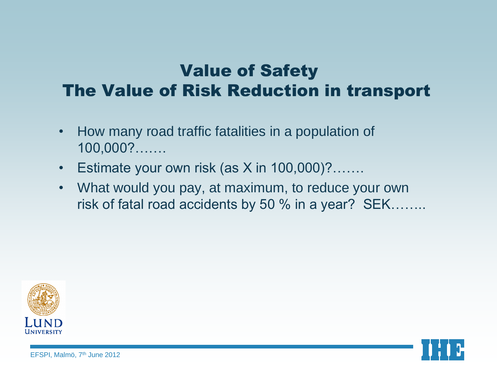### Value of Safety The Value of Risk Reduction in transport

- How many road traffic fatalities in a population of 100,000?…….
- Estimate your own risk (as  $X$  in  $100,000$ )?…….
- What would you pay, at maximum, to reduce your own risk of fatal road accidents by 50 % in a year? SEK……..



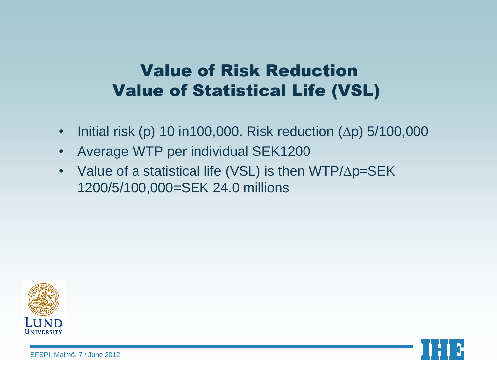### Value of Risk Reduction Value of Statistical Life (VSL)

- Initial risk (p) 10 in100,000. Risk reduction  $(\Delta p)$  5/100,000
- Average WTP per individual SEK1200
- Value of a statistical life (VSL) is then  $WTP/\Delta p = SEK$ 1200/5/100,000=SEK 24.0 millions



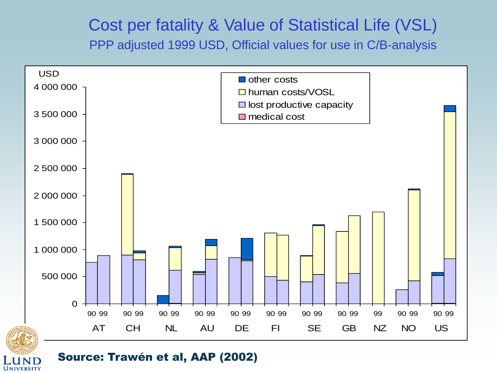#### Cost per fatality & Value of Statistical Life (VSL) PPP adjusted 1999 USD, Official values for use in C/B-analysis





#### Source: Trawén et al, AAP (2002)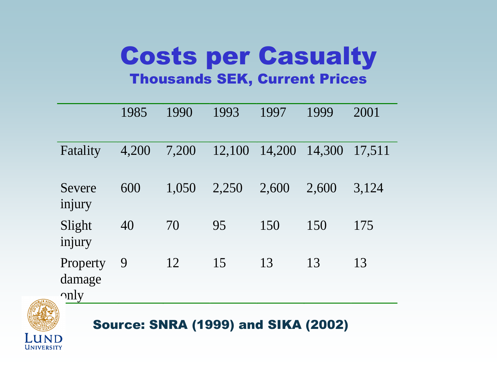## Costs per Casualty Thousands SEK, Current Prices

|                                    | 1985  | 1990  | 1993   | 1997   | 1999   | 2001   |
|------------------------------------|-------|-------|--------|--------|--------|--------|
| Fatality                           | 4,200 | 7,200 | 12,100 | 14,200 | 14,300 | 17,511 |
| Severe<br>injury                   | 600   | 1,050 | 2,250  | 2,600  | 2,600  | 3,124  |
| Slight<br>injury                   | 40    | 70    | 95     | 150    | 150    | 175    |
| Property<br>damage<br>$\gamma$ nly | 9     | 12    | 15     | 13     | 13     | 13     |



UNIVERSITY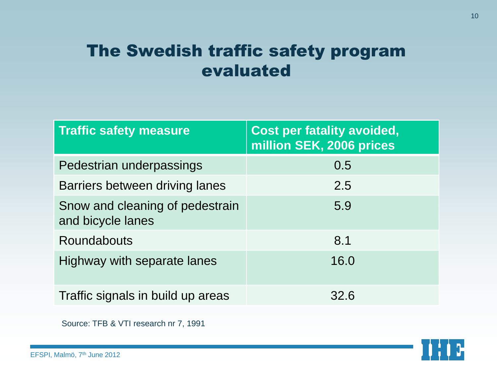#### The Swedish traffic safety program evaluated

| <b>Traffic safety measure</b>                        | <b>Cost per fatality avoided,</b><br>million SEK, 2006 prices |  |  |
|------------------------------------------------------|---------------------------------------------------------------|--|--|
| Pedestrian underpassings                             | 0.5                                                           |  |  |
| Barriers between driving lanes                       | 2.5                                                           |  |  |
| Snow and cleaning of pedestrain<br>and bicycle lanes | 5.9                                                           |  |  |
| <b>Roundabouts</b>                                   | 8.1                                                           |  |  |
| Highway with separate lanes                          | 16.0                                                          |  |  |
| Traffic signals in build up areas                    | 32.6                                                          |  |  |

Source: TFB & VTI research nr 7, 1991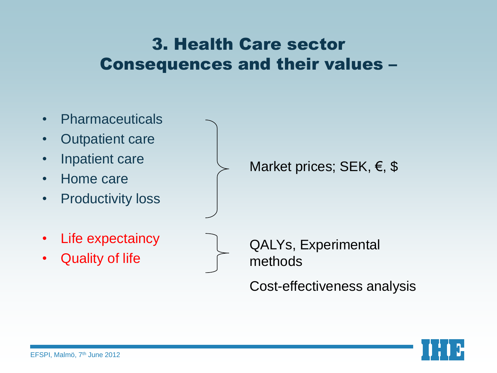#### 3. Health Care sector Consequences and their values –

- Pharmaceuticals
- Outpatient care
- Inpatient care
- Home care
- Productivity loss
- Life expectaincy
- Quality of life

Market prices; SEK, €, \$

QALYs, Experimental methods

Cost-effectiveness analysis

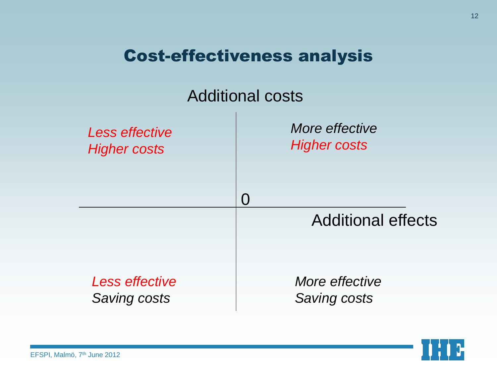#### Cost-effectiveness analysis



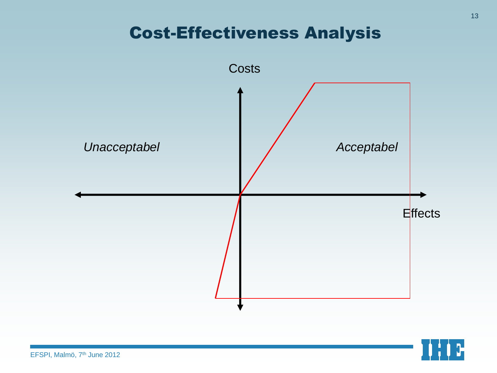#### Cost-Effectiveness Analysis



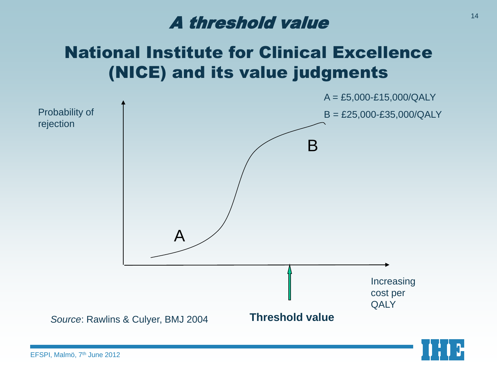### A threshold value

### National Institute for Clinical Excellence (NICE) and its value judgments





EFSPI, Malmö, 7<sup>th</sup> June 2012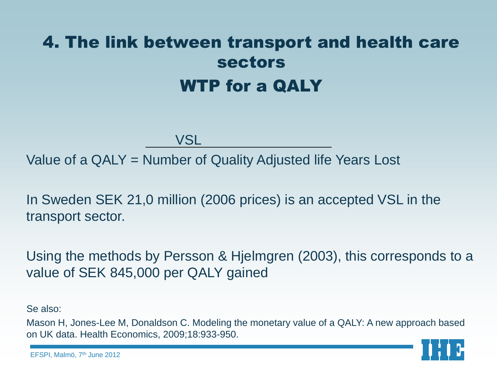## 4. The link between transport and health care sectors WTP for a QALY

VSL

Value of a QALY = Number of Quality Adjusted life Years Lost

In Sweden SEK 21,0 million (2006 prices) is an accepted VSL in the transport sector.

Using the methods by Persson & Hjelmgren (2003), this corresponds to a value of SEK 845,000 per QALY gained

Se also:

Mason H, Jones-Lee M, Donaldson C. Modeling the monetary value of a QALY: A new approach based on UK data. Health Economics, 2009;18:933-950.

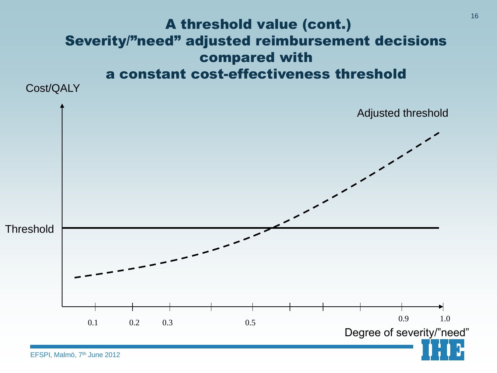#### A threshold value (cont.) Severity/"need" adjusted reimbursement decisions compared with a constant cost-effectiveness threshold

Cost/QALY

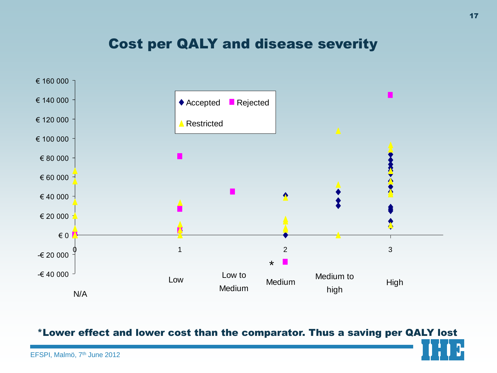#### Cost per QALY and disease severity



\*Lower effect and lower cost than the comparator. Thus a saving per QALY lost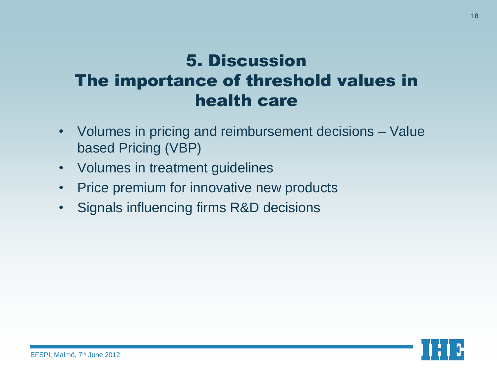### 5. Discussion The importance of threshold values in health care

- Volumes in pricing and reimbursement decisions Value based Pricing (VBP)
- Volumes in treatment guidelines
- Price premium for innovative new products
- Signals influencing firms R&D decisions

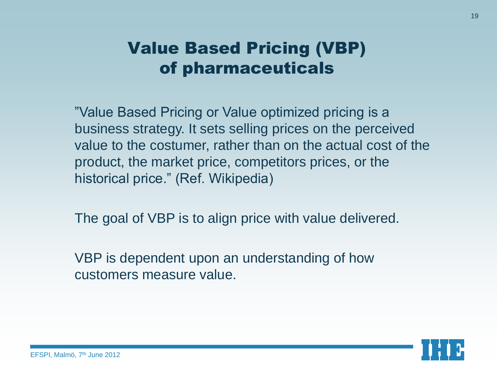#### Value Based Pricing (VBP) of pharmaceuticals

"Value Based Pricing or Value optimized pricing is a business strategy. It sets selling prices on the perceived value to the costumer, rather than on the actual cost of the product, the market price, competitors prices, or the historical price." (Ref. Wikipedia)

The goal of VBP is to align price with value delivered.

VBP is dependent upon an understanding of how customers measure value.

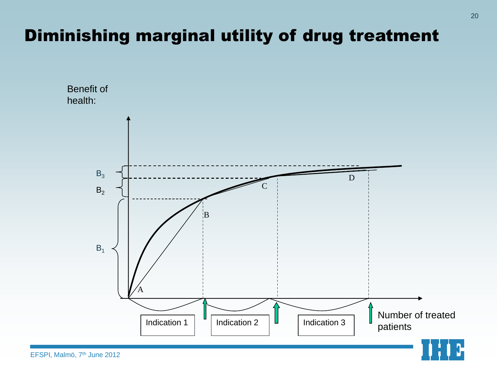### Diminishing marginal utility of drug treatment

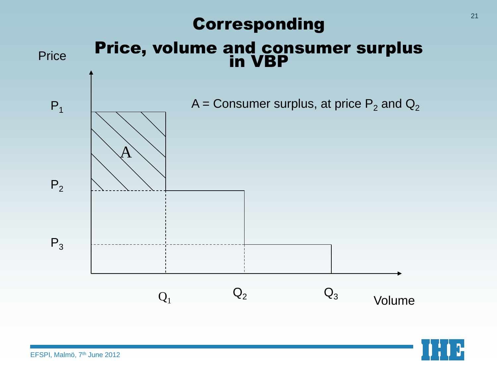#### Corresponding



#### Price, volume and consumer surplus in VBP



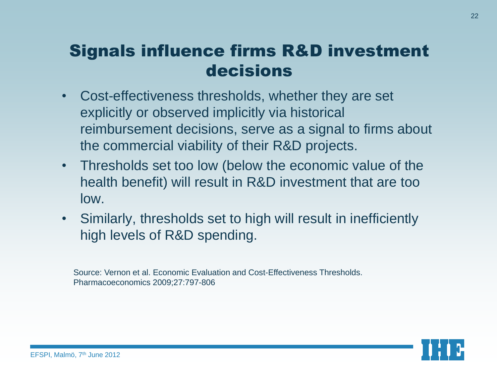#### Signals influence firms R&D investment decisions

- Cost-effectiveness thresholds, whether they are set explicitly or observed implicitly via historical reimbursement decisions, serve as a signal to firms about the commercial viability of their R&D projects.
- Thresholds set too low (below the economic value of the health benefit) will result in R&D investment that are too low.
- Similarly, thresholds set to high will result in inefficiently high levels of R&D spending.

Source: Vernon et al. Economic Evaluation and Cost-Effectiveness Thresholds. Pharmacoeconomics 2009;27:797-806

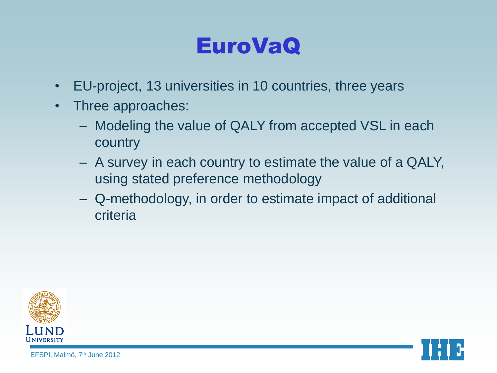# EuroVaQ

- EU-project, 13 universities in 10 countries, three years
- Three approaches:
	- Modeling the value of QALY from accepted VSL in each country
	- A survey in each country to estimate the value of a QALY, using stated preference methodology
	- Q-methodology, in order to estimate impact of additional criteria



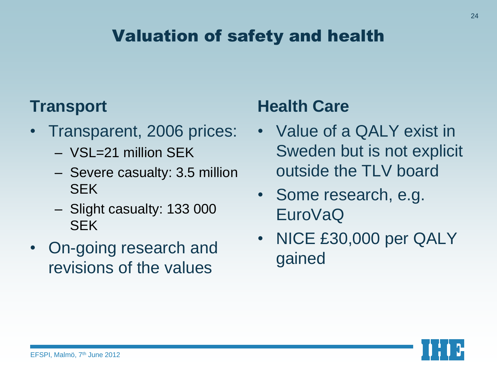### Valuation of safety and health

#### **Transport**

- Transparent, 2006 prices:
	- VSL=21 million SEK
	- Severe casualty: 3.5 million SEK
	- Slight casualty: 133 000 SEK
- On-going research and revisions of the values

#### **Health Care**

- Value of a QALY exist in Sweden but is not explicit outside the TLV board
- Some research, e.g. EuroVaQ
- NICE £30,000 per QALY gained